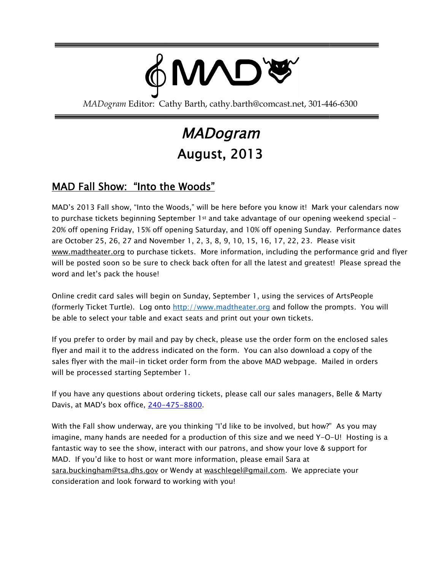

MADogram Editor: Cathy Barth, cathy.barth@comcast.net, 301-446-6300

# MADogram August, 2013

## <u>MAD Fall Show: "Into the Woods"</u>

MAD's 2013 Fall show, "Into the Woods," will be here before you know it! Mark your calendars now MAD's 2013 Fall show, "Into the Woods," will be here before you know it! Mark your calendars nov<br>to purchase tickets beginning September 1st and take advantage of our opening weekend special -20% off opening Friday, 15% off opening Saturday, and 10% off opening Sunday. Performance dates are October 25, 26, 27 and November 1, 2, 3, 8, 9, 10, 15, 16, 17, 22, 23. Please visit <u>[www.madtheater.org](http://www.madtheater.org/)</u> to purchase tickets. More information, including the performance grid and flyer will be posted soon so be sure to check back often for all the latest and greatest! word and let's pack the house! i, 17, 22, 23. Please visit<br>ncluding the performance grid and flyer<br>latest and greatest! Please spread the

Online credit card sales will begin on Sunday, September 1, using the services of ArtsPeople (formerly Ticket Turtle). Log onto <u>[http://www.madtheater.org](http://www.madtheater.org/)</u> and follow the prompts. You will be able to select your table and exact seats and print out your own tickets.

If you prefer to order by mail and pay by check, please use the order form on the enclosed sales flyer and mail it to the address indicated on the form. You can also download a copy of the sales flyer with the mail-in ticket order form from the above MAD webpage. Mailed in orders will be processed starting September 1. ble to select your table and exact seats and print out your own tickets.<br>I prefer to order by mail and pay by check, please use the order form on the enclosed sa<br>and mail it to the address indicated on the form. You can a :ated on the form. You can also download a copy of th<br>der form from the above MAD webpage. Mailed in orc<br>r 1.<br>ering tickets, please call our sales managers, Belle & N

will be processed starting September 1.<br>If you have any questions about ordering tickets, please call our sales managers, Belle & Marty Davis, at MAD's box office, <u>240–475–8800</u>.

With the Fall show underway, are you thinking "I'd like to be involved, but how?" As you may With the Fall show underway, are you thinking "I'd like to be involved, but how?" As you may<br>imagine, many hands are needed for a production of this size and we need Y-O-U! Hosting is a fantastic way to see the show, interact with our patrons, and show your love & support for MAD. If you'd like to host or want more information, please email Sara at fantastic way to see the show, interact with our patrons, and show your love & support !<br>MAD. If you'd like to host or want more information, please email Sara at<br><u>sara.buckingham@tsa.dhs.gov</u> or Wendy at <u>waschlegel@gmai</u> consideration and look forward to working with you!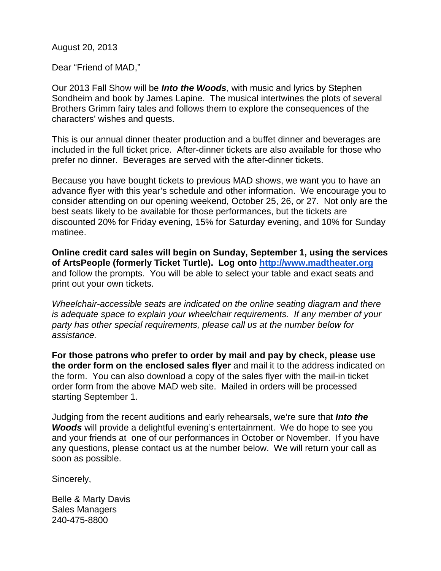August 20, 2013

Dear "Friend of MAD,"

Our 2013 Fall Show will be *Into the Woods*, with music and lyrics by Stephen Sondheim and book by James Lapine. The musical intertwines the plots of several Brothers Grimm fairy tales and follows them to explore the consequences of the characters' wishes and quests.

This is our annual dinner theater production and a buffet dinner and beverages are included in the full ticket price. After-dinner tickets are also available for those who prefer no dinner. Beverages are served with the after-dinner tickets.

Because you have bought tickets to previous MAD shows, we want you to have an advance flyer with this year's schedule and other information. We encourage you to consider attending on our opening weekend, October 25, 26, or 27. Not only are the best seats likely to be available for those performances, but the tickets are discounted 20% for Friday evening, 15% for Saturday evening, and 10% for Sunday matinee.

**Online credit card sales will begin on Sunday, September 1, using the services of ArtsPeople (formerly Ticket Turtle). Log onto [http://www.madtheater.org](http://www.madtheater.org/)** and follow the prompts. You will be able to select your table and exact seats and print out your own tickets.

*Wheelchair-accessible seats are indicated on the online seating diagram and there is adequate space to explain your wheelchair requirements. If any member of your party has other special requirements, please call us at the number below for assistance.*

**For those patrons who prefer to order by mail and pay by check, please use the order form on the enclosed sales flyer** and mail it to the address indicated on the form. You can also download a copy of the sales flyer with the mail-in ticket order form from the above MAD web site. Mailed in orders will be processed starting September 1.

Judging from the recent auditions and early rehearsals, we're sure that *Into the Woods* will provide a delightful evening's entertainment. We do hope to see you and your friends at one of our performances in October or November. If you have any questions, please contact us at the number below. We will return your call as soon as possible.

Sincerely,

Belle & Marty Davis Sales Managers 240-475-8800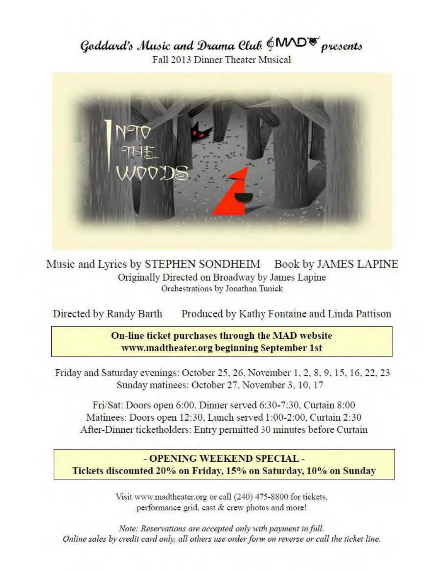Goddard's Music and Drama Cluk  $\oint$ MD<sup>®</sup> presents Fall 2013 Dinner Theater Musical



Music and Lyrics by STEPHEN SONDHEIM Book by JAMES LAPINE Originally Directed on Broadway by James Lapine Orchestrations by Jonathan Tunick

Directed by Randy Barth Produced by Kathy Fontaine and Linda Pattison

## **On-line ticket purchases through the MAD website www.madtheater.org beginning September 1st**

Friday and Saturday evenings: October 25, 26, November 1, 2, 8, 9, 15, 16, 22, 23 Sunday matinees: October 27, November 3, 10, 17

Fri/Sat: Doors open 6:00. Dinner served 6:30-7:30. Curtain 8:00 Matinees: Doors open 12:30. Lunch served 1:00-2:00. Curtain 2:30 After-Dinner ticketholders: Entry permitted 30 minutes before Curtain

## - **OPENING WEEKEND SPECIAL** - **Tickets discounted 20°/o on Friday, 15o/o on Saturday, 10°/o on Sunday**

Visit www.madtheater.org or call (240) 475-8800 for tickets, performance grid. cast & crew photos and more!

*Note: Reservations are accepted only with payment in full. Online sales by credit card only, all others use order form on reverse or call the ticket line.*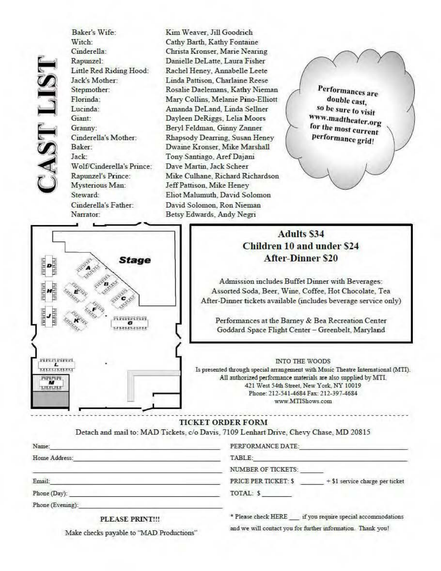**PAST LIST** 

Baker's Wife: Witch: Cinderella: Rapunzel: Little Red Riding Hood: Jack's Mother: Stepmother: Florinda: Lucinda: Giant: Granny: Cinderella's Mother: Baker: Jack: Wolf/Cinderella's Prince: Rapunzel's Prince: Mysterious Man: Steward: Cinderella's Father: Narrator:

Kim Weaver, Jill Goodrich Cathy Barth, Kathy Fontaine Christa Kronser, Marie Nearing Danielle DeLatte, Laura Fisher Rachel Heney, Annabelle Leete Linda Pattison, Charlaine Reese Rosalie Daelemans, Kathy Nieman Mary Collins, Melanie Pino-Elliott Amanda DeLand, Linda Sellner Dayleen DeRiggs, Lelia Moors Beryl Feldman, Ginny Zanner Rhapsody Dearring, Susan Heney Dwaine Kronser, Mike Marshall Tony Santiago, ArefDajani Dave Martin, Jack Scheer Mike Culhane, Richard Richardson Jeff Pattison, Mike Heney Eliot Malumuth, David Solomon David Solomon, Ron Nieman Betsy Edwards, Andy Negri

Performances are double cast, so be sure to visit **W\**  . **vw.madtheater.org**  *l***for the most current** performance grid!

## 0 **Stage** 0000 **DEER 666666** 000000 c:<br>| Extending<br>| Is presented through special arrangement with Music Theatre International (MTI). rt1f.i:-f.i1 **!:!9 8 8**

## **Adults \$34 Children 10 and under \$24 After-Dinner** \$20

Admission includes Buffet Dinner with Beverages: Assorted Soda, Beer, Wine, Coffee, Hot Chocolate, Tea After-Dinner tickets available (includes beverage service only)

Performances at the Barney & Bea Recreation Center Goddard Space Flight Center - Greenbelt, Maryland

All authorized perfonnance materials are also supplied by MTL 421 West 54th Street, New York, NY 10019 Phone: 212-541-4684 Fax: 212-397-4684 **W\¥'1.\' ~fTISbows.com** 

and we will contact you for further information. Thank you!

#### **TICKET ORDER FORM**

Detach and mail to: MAD Tickets, c/o Davis, 7109 Lenhart Drive, Chevy Chase, MD 20815

| Name:            | PERFORMANCE DATE:                                              |
|------------------|----------------------------------------------------------------|
| Home Address:    | TABLE:                                                         |
|                  | <b>NUMBER OF TICKETS:</b>                                      |
| Email:           | <b>PRICE PER TICKET: \$</b><br>+ \$1 service charge per ticket |
| Phone (Day):     | TOTAL: \$                                                      |
| Phone (Evening): |                                                                |
| DI FACE DEINTIH  | if you require special accommodations<br>* Please check HERE   |

PLEASE PRINT!!!

Make checks payable to "MAD Productions"